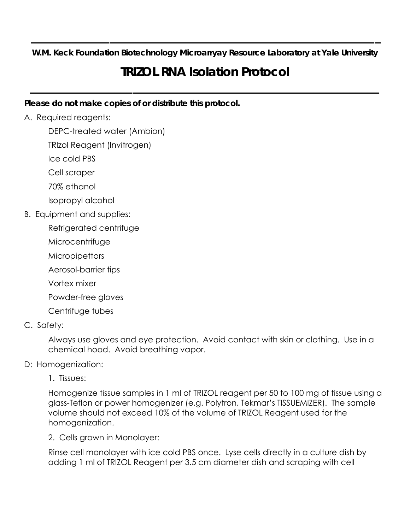**W.M. Keck Foundation Biotechnology Microarryay Resource Laboratory at Yale University** 

**\_\_\_\_\_\_\_\_\_\_\_\_\_\_\_\_\_\_\_\_\_\_\_\_\_\_\_\_\_\_\_\_\_\_\_\_\_\_\_\_\_\_\_\_\_\_\_\_\_\_\_\_\_\_\_\_\_\_** 

# **TRIZOL RNA Isolation Protocol**

**\_\_\_\_\_\_\_\_\_\_\_\_\_\_\_\_\_\_\_\_\_\_\_\_\_\_\_\_\_\_\_\_\_\_\_\_\_\_\_\_\_\_\_\_\_\_\_\_\_\_\_\_\_\_\_\_\_\_** 

## **Please do not make copies of or distribute this protocol.**

## A. Required reagents:

DEPC-treated water (Ambion)

TRIzol Reagent (Invitrogen)

Ice cold PBS

Cell scraper

70% ethanol

Isopropyl alcohol

B. Equipment and supplies:

Refrigerated centrifuge

Microcentrifuge

**Micropipettors** 

Aerosol-barrier tips

Vortex mixer

Powder-free gloves

Centrifuge tubes

# C. Safety:

Always use gloves and eye protection. Avoid contact with skin or clothing. Use in a chemical hood. Avoid breathing vapor.

# D: Homogenization:

1. Tissues:

Homogenize tissue samples in 1 ml of TRIZOL reagent per 50 to 100 mg of tissue using a glass-Teflon or power homogenizer (e.g. Polytron, Tekmar's TISSUEMIZER). The sample volume should not exceed 10% of the volume of TRIZOL Reagent used for the homogenization.

2. Cells grown in Monolayer:

Rinse cell monolayer with ice cold PBS once. Lyse cells directly in a culture dish by adding 1 ml of TRIZOL Reagent per 3.5 cm diameter dish and scraping with cell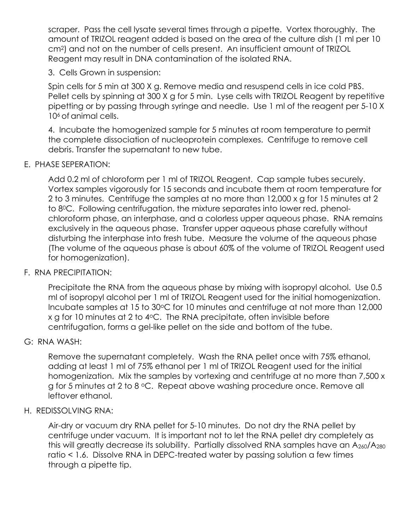scraper. Pass the cell lysate several times through a pipette. Vortex thoroughly. The amount of TRIZOL reagent added is based on the area of the culture dish (1 ml per 10 cm2) and not on the number of cells present. An insufficient amount of TRIZOL Reagent may result in DNA contamination of the isolated RNA.

3. Cells Grown in suspension:

Spin cells for 5 min at 300 X g. Remove media and resuspend cells in ice cold PBS. Pellet cells by spinning at 300 X g for 5 min. Lyse cells with TRIZOL Reagent by repetitive pipetting or by passing through syringe and needle. Use 1 ml of the reagent per 5-10 X 106 of animal cells.

4. Incubate the homogenized sample for 5 minutes at room temperature to permit the complete dissociation of nucleoprotein complexes. Centrifuge to remove cell debris. Transfer the supernatant to new tube.

#### E. PHASE SEPERATION:

Add 0.2 ml of chloroform per 1 ml of TRIZOL Reagent. Cap sample tubes securely. Vortex samples vigorously for 15 seconds and incubate them at room temperature for 2 to 3 minutes. Centrifuge the samples at no more than 12,000 x g for 15 minutes at 2 to 80C. Following centrifugation, the mixture separates into lower red, phenolchloroform phase, an interphase, and a colorless upper aqueous phase. RNA remains exclusively in the aqueous phase. Transfer upper aqueous phase carefully without disturbing the interphase into fresh tube. Measure the volume of the aqueous phase (The volume of the aqueous phase is about 60% of the volume of TRIZOL Reagent used for homogenization).

#### F. RNA PRECIPITATION:

Precipitate the RNA from the aqueous phase by mixing with isopropyl alcohol. Use 0.5 ml of isopropyl alcohol per 1 ml of TRIZOL Reagent used for the initial homogenization. Incubate samples at 15 to 30°C for 10 minutes and centrifuge at not more than 12,000 x g for 10 minutes at 2 to 4 °C. The RNA precipitate, often invisible before centrifugation, forms a gel-like pellet on the side and bottom of the tube.

#### G: RNA WASH:

Remove the supernatant completely. Wash the RNA pellet once with 75% ethanol, adding at least 1 ml of 75% ethanol per 1 ml of TRIZOL Reagent used for the initial homogenization. Mix the samples by vortexing and centrifuge at no more than 7,500 x g for 5 minutes at 2 to 8 °C. Repeat above washing procedure once. Remove all leftover ethanol.

#### H. REDISSOLVING RNA:

Air-dry or vacuum dry RNA pellet for 5-10 minutes. Do not dry the RNA pellet by centrifuge under vacuum. It is important not to let the RNA pellet dry completely as this will greatly decrease its solubility. Partially dissolved RNA samples have an A<sub>260</sub>/A<sub>280</sub> ratio < 1.6. Dissolve RNA in DEPC-treated water by passing solution a few times through a pipette tip.